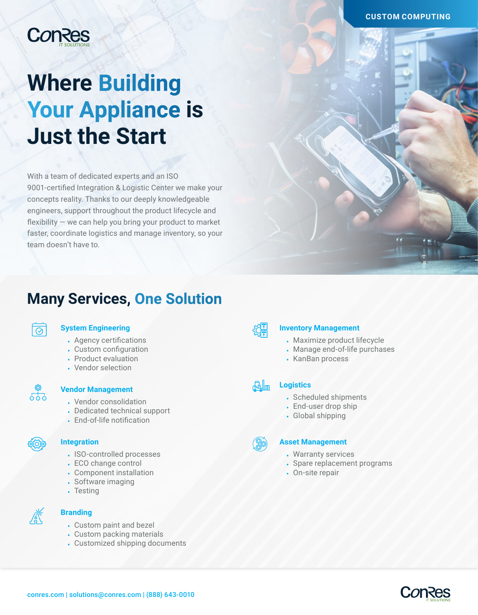#### **CUSTOM COMPUTING**

## **ConRes**

# **Where Building Your Appliance is Just the Start**

With a team of dedicated experts and an ISO 9001-certified Integration & Logistic Center we make your concepts reality. Thanks to our deeply knowledgeable engineers, support throughout the product lifecycle and flexibility — we can help you bring your product to market faster, coordinate logistics and manage inventory, so your team doesn't have to.

### **Many Services, One Solution**



#### **System Engineering**

- Agency certifications
- Custom configuration
- Product evaluation
- Vendor selection



#### **Vendor Management**

- Vendor consolidation
- Dedicated technical support
- End-of-life notification



#### **Integration**

- ISO-controlled processes
- ECO change control
- Component installation
- Software imaging
- Testing



#### **Branding**

- Custom paint and bezel
- Custom packing materials
- Customized shipping documents



#### **Inventory Management**

- Maximize product lifecycle
- Manage end-of-life purchases
- KanBan process

#### **Logistics**

- Scheduled shipments
- End-user drop ship
- Global shipping



剛子

#### **Asset Management**

- Warranty services
- Spare replacement programs
- On-site repair